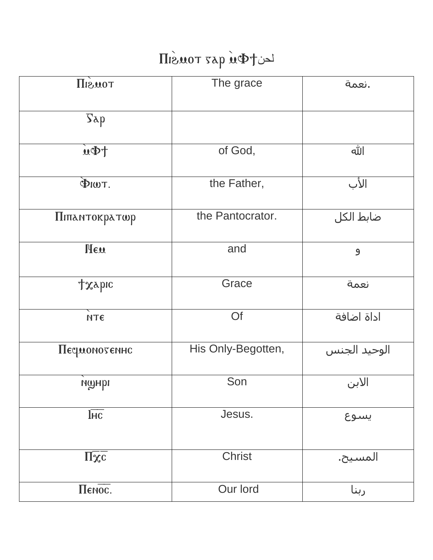## Le de Tous Tous

| TOUSIN                                     | The grace          | أنعمة.       |
|--------------------------------------------|--------------------|--------------|
| $\sum$                                     |                    |              |
| $\overline{\mathbf{u}}$                    | of God,            | الله         |
| $\Phi$ IWT.                                | the Father,        | الأب         |
| Піпантократор                              | the Pantocrator.   | ضابط الكل    |
| New                                        | and                | $\mathbf{9}$ |
| <b>Txybic</b>                              | Grace              | نعمة         |
| NTE                                        | Of                 | اداة اضافة   |
| Песромотелно                               | His Only-Begotten, | الوحيد الجنس |
| ишнрі                                      | Son                | الابن        |
| $\overline{\text{Inc}}$                    | Jesus.             | يسوع         |
| $\underline{\Pi} \underline{\mathbf{x}}$ c | <b>Christ</b>      | المسيح.      |
| Пенос.                                     | Our lord           | ربنا         |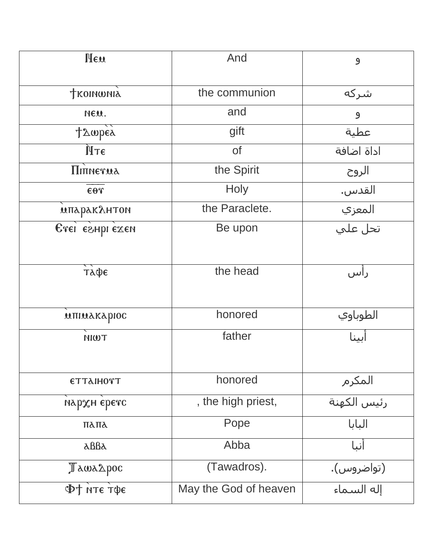| <b>Heu</b>          | And                   |                                  |
|---------------------|-----------------------|----------------------------------|
|                     |                       | $\mathbf{9}$                     |
|                     |                       |                                  |
| <b>TROINWNIA</b>    | the communion         | شرکه                             |
| NEU.                | and                   | 9                                |
| tampés              | gift                  | عطية                             |
| ÙТE                 | <b>of</b>             | اداة اضافة                       |
| <b>Π</b> ΙΠΝΕΥΜΑ    | the Spirit            | الروح                            |
| $\epsilon$ or       | <b>Holy</b>           | القدس.                           |
| мпаракантон         | the Paraclete.        | <mark>َ المعزي</mark><br>تحل علي |
| Erei eshpi exen     | Be upon               |                                  |
|                     |                       |                                  |
| ТАФЕ                | the head              | راس                              |
|                     |                       |                                  |
| MITIMAKAPIOC        | honored               | الطوباوي                         |
| <b>TWIN</b>         | father                | أبينا                            |
|                     |                       |                                  |
| <b>ΕΤΤλΙΗΟΥΤ</b>    | honored               | المكرم                           |
| нархн єретс         | , the high priest,    | <mark>رئيس الكهنة</mark>         |
| ΠλΠλ                | Pope                  | البابا                           |
| $\Delta \text{BBA}$ | Abba                  | أنبا                             |
| TawaApoc            | (Tawadros).           | (تواضروس).                       |
| Ф† нте тфе          | May the God of heaven | إله السماء                       |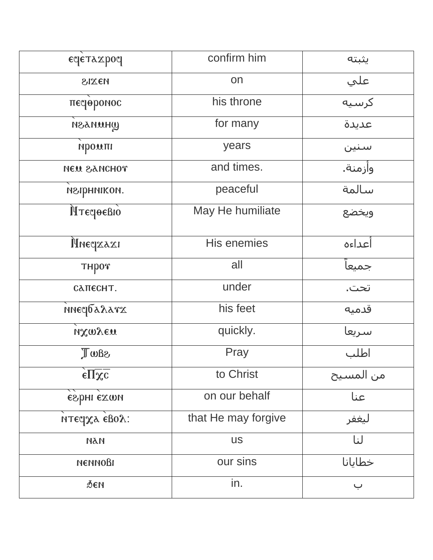| εφετλαροφ                                          | confirm him         | يثبته              |
|----------------------------------------------------|---------------------|--------------------|
| MEXIS                                              | on                  | علي                |
| песреромос                                         | his throne          | كرسيه              |
| WHUNASH                                            | for many            | عديدة              |
| промпі                                             | years               | سنين               |
| тонопае мэи                                        | and times.          | وأزمنة.            |
| неприником.                                        | peaceful            | سالمة              |
| <b>МТестоевю</b>                                   | May He humiliate    | ويخضع              |
| риестая                                            | <b>His enemies</b>  | أعداءه             |
| THPOT                                              | all                 | جميعا              |
| САПЕСНТ.                                           | under               | تحت.               |
| <b>мнесралата</b>                                  | his feet            | قدميه              |
| ихмует                                             | quickly.            | سريعا              |
| Saw                                                | Pray                | اطلب               |
| $\epsilon \overline{\Pi} \chi \overline{\text{c}}$ | to Christ           | من المسيح          |
| егрні ехми                                         | on our behalf       | عنا                |
| итестха евох:                                      | that He may forgive | ليغفر              |
| ПАИ                                                | <b>US</b>           | لنا                |
| <b>NENNOBI</b>                                     | our sins            | خطايانا            |
| бeн                                                | in.                 | $\dot{\mathbf{u}}$ |